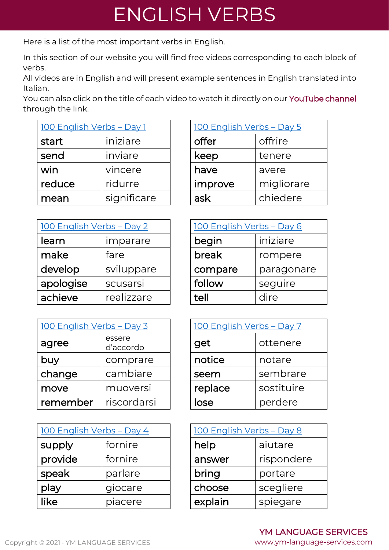## ENGLISH VERBS

Here is a list of the most important verbs in English.

In this section of our website you will find free videos corresponding to each block of verbs.

All videos are in English and will present example sentences in English translated into Italian.

You can also click on the title of each video to watch it directly on our [YouTube channel](https://www.youtube.com/channel/UCjflYLEjEF3FZXoa77jfeGA) through the link.

| <u> 100 English Verbs - Day 1</u> |             | 100 English Verbs - Day 5 |            |
|-----------------------------------|-------------|---------------------------|------------|
| start                             | iniziare    | offer                     | offrire    |
| send                              | inviare     | keep                      | tenere     |
| win                               | vincere     | have                      | avere      |
| reduce                            | ridurre     | improve                   | migliorare |
| mean                              | significare | ask                       | chiedere   |

| 100 English Verbs - Day 2 |            | 100 English Verbs - Day 6 |            |
|---------------------------|------------|---------------------------|------------|
| learn                     | imparare   | begin                     | iniziare   |
| make                      | fare       | break                     | rompere    |
| develop                   | sviluppare | compare                   | paragonare |
| apologise                 | scusarsi   | follow                    | seguire    |
| achieve                   | realizzare | tell                      | dire       |

| 100 English Verbs - Day 3 |                     | 100 English Verbs - Day 7 |            |
|---------------------------|---------------------|---------------------------|------------|
| agree                     | essere<br>d'accordo | get                       | ottenere   |
| buy                       | comprare            | notice                    | notare     |
| change                    | cambiare            | seem                      | sembrare   |
| move                      | muoversi            | replace                   | sostituire |
| remember                  | riscordarsi         | lose                      | perdere    |

| <u> 100 English Verbs - Day 4</u> |         | 100 English Verbs - Day 8 |            |  |
|-----------------------------------|---------|---------------------------|------------|--|
| supply                            | fornire | help                      | aiutare    |  |
| provide                           | fornire | answer                    | rispondere |  |
| speak                             | parlare | bring                     | portare    |  |
| play                              | giocare | choose                    | scegliere  |  |
| like                              | piacere | explain                   | spiegare   |  |

| <u> 100 English Verbs - Day 5</u> |            |  |  |  |
|-----------------------------------|------------|--|--|--|
| offer                             | offrire    |  |  |  |
| keep                              | tenere     |  |  |  |
| have                              | avere      |  |  |  |
| improve                           | migliorare |  |  |  |
| ask                               | chiedere   |  |  |  |
|                                   |            |  |  |  |

| 100 English Verbs - Day 6 |            |  |  |  |
|---------------------------|------------|--|--|--|
| begin                     | iniziare   |  |  |  |
| break                     | rompere    |  |  |  |
| compare                   | paragonare |  |  |  |
| follow                    | seguire    |  |  |  |
| tell                      | dire       |  |  |  |

| $bs - Day 3$        | 100 English Verbs - Day 7 |            |  |
|---------------------|---------------------------|------------|--|
| essere<br>d'accordo | get                       | ottenere   |  |
| comprare            | notice                    | notare     |  |
| cambiare            | seem                      | sembrare   |  |
| muoversi            | replace                   | sostituire |  |
| riscordarsi         | lose                      | perdere    |  |

| <u> 100 English Verbs - Day 8</u> |            |  |  |  |
|-----------------------------------|------------|--|--|--|
| help                              | aiutare    |  |  |  |
| answer                            | rispondere |  |  |  |
| bring                             | portare    |  |  |  |
| scegliere<br>choose               |            |  |  |  |
| explain                           | spiegare   |  |  |  |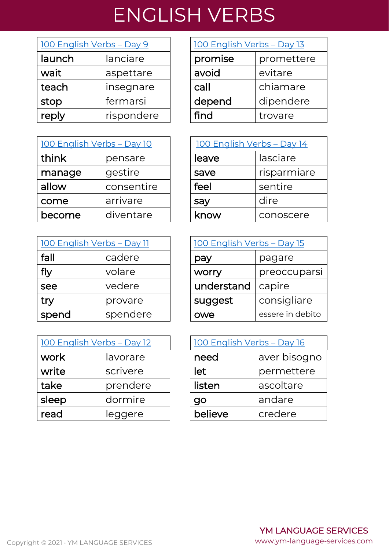## ENGLISH VERBS

| 100 English Verbs - Day 9 |            | 100 English Verbs - Day 13 |            |
|---------------------------|------------|----------------------------|------------|
| launch                    | lanciare   | promise                    | promettere |
| wait                      | aspettare  | avoid                      | evitare    |
| teach                     | insegnare  | call                       | chiamare   |
| stop                      | fermarsi   | depend                     | dipendere  |
| reply                     | rispondere | find                       | trovare    |

| <u> 100 English Verbs - Day 10</u> |            | 100 English Verbs - Day 14 |  |             |
|------------------------------------|------------|----------------------------|--|-------------|
| think                              | pensare    | leave                      |  | lasciare    |
| manage                             | gestire    | save                       |  | risparmiare |
| allow                              | consentire | feel                       |  | sentire     |
| come                               | arrivare   | say                        |  | dire        |
| become                             | diventare  | know                       |  | conoscere   |

| 100 English Verbs - Day 11 |          | 100 English Verbs - Day 15 |                |
|----------------------------|----------|----------------------------|----------------|
| fall                       | cadere   | pay                        | pagare         |
| fly                        | volare   | <b>WOrry</b>               | preoccupa      |
| see                        | vedere   | understand                 | capire         |
| try                        | provare  | suggest                    | consigliare    |
| spend                      | spendere | owe                        | essere in debi |

| 100 English Verbs - Day 12 |          | 100 English Verbs - Day 16 |             |
|----------------------------|----------|----------------------------|-------------|
| work                       | lavorare | need                       | aver bisogn |
| write                      | scrivere | let                        | permettere  |
| take                       | prendere | listen                     | ascoltare   |
| sleep                      | dormire  | go                         | andare      |
| read                       | leggere  | believe                    | credere     |

| 100 English Verbs - Day 13 |            |  |  |
|----------------------------|------------|--|--|
| promise                    | promettere |  |  |
| avoid                      | evitare    |  |  |
| call                       | chiamare   |  |  |
| depend                     | dipendere  |  |  |
| find                       | trovare    |  |  |

| <u> 100 English Verbs - Day 14</u> |             |  |
|------------------------------------|-------------|--|
| leave                              | lasciare    |  |
| save                               | risparmiare |  |
| feel                               | sentire     |  |
| say                                | dire        |  |
| know                               | conoscere   |  |

| <u> 100 English Verbs – Day 11</u> |          | <u> 100 English Verbs - Day 15</u> |                  |
|------------------------------------|----------|------------------------------------|------------------|
| fall                               | cadere   | pay                                | pagare           |
| fly                                | volare   | worry                              | preoccuparsi     |
| see                                | vedere   | understand                         | capire           |
| try                                | provare  | suggest                            | consigliare      |
| spend                              | spendere | owe                                | essere in debito |

| <u> 100 English Verbs – Day 12</u> |          |  |         | 100 English Verbs - Day 16 |  |
|------------------------------------|----------|--|---------|----------------------------|--|
| work                               | lavorare |  | need    | aver bisogno               |  |
| write                              | scrivere |  | let     | permettere                 |  |
| take                               | prendere |  | listen  | ascoltare                  |  |
| sleep                              | dormire  |  | go      | andare                     |  |
| read                               | leggere  |  | believe | credere                    |  |